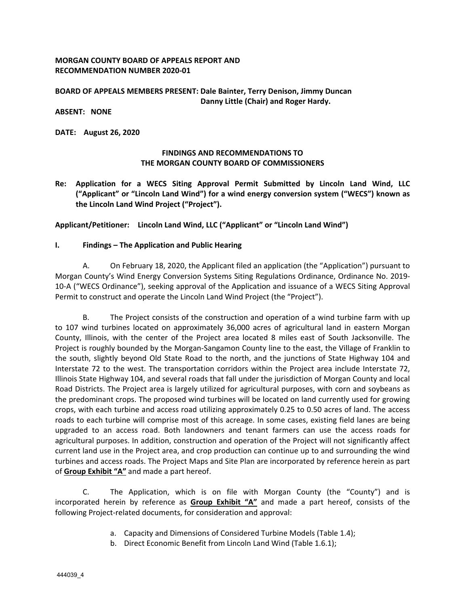## **MORGAN COUNTY BOARD OF APPEALS REPORT AND RECOMMENDATION NUMBER 2020‐01**

## **BOARD OF APPEALS MEMBERS PRESENT: Dale Bainter, Terry Denison, Jimmy Duncan Danny Little (Chair) and Roger Hardy.**

**ABSENT: NONE** 

**DATE: August 26, 2020** 

## **FINDINGS AND RECOMMENDATIONS TO THE MORGAN COUNTY BOARD OF COMMISSIONERS**

**Re: Application for a WECS Siting Approval Permit Submitted by Lincoln Land Wind, LLC ("Applicant" or "Lincoln Land Wind") for a wind energy conversion system ("WECS") known as the Lincoln Land Wind Project ("Project").** 

**Applicant/Petitioner: Lincoln Land Wind, LLC ("Applicant" or "Lincoln Land Wind")** 

## **I. Findings – The Application and Public Hearing**

A. On February 18, 2020, the Applicant filed an application (the "Application") pursuant to Morgan County's Wind Energy Conversion Systems Siting Regulations Ordinance, Ordinance No. 2019‐ 10‐A ("WECS Ordinance"), seeking approval of the Application and issuance of a WECS Siting Approval Permit to construct and operate the Lincoln Land Wind Project (the "Project").

B. The Project consists of the construction and operation of a wind turbine farm with up to 107 wind turbines located on approximately 36,000 acres of agricultural land in eastern Morgan County, Illinois, with the center of the Project area located 8 miles east of South Jacksonville. The Project is roughly bounded by the Morgan‐Sangamon County line to the east, the Village of Franklin to the south, slightly beyond Old State Road to the north, and the junctions of State Highway 104 and Interstate 72 to the west. The transportation corridors within the Project area include Interstate 72, Illinois State Highway 104, and several roads that fall under the jurisdiction of Morgan County and local Road Districts. The Project area is largely utilized for agricultural purposes, with corn and soybeans as the predominant crops. The proposed wind turbines will be located on land currently used for growing crops, with each turbine and access road utilizing approximately 0.25 to 0.50 acres of land. The access roads to each turbine will comprise most of this acreage. In some cases, existing field lanes are being upgraded to an access road. Both landowners and tenant farmers can use the access roads for agricultural purposes. In addition, construction and operation of the Project will not significantly affect current land use in the Project area, and crop production can continue up to and surrounding the wind turbines and access roads. The Project Maps and Site Plan are incorporated by reference herein as part of **Group Exhibit "A"** and made a part hereof.

C. The Application, which is on file with Morgan County (the "County") and is incorporated herein by reference as **Group Exhibit "A"** and made a part hereof, consists of the following Project-related documents, for consideration and approval:

- a. Capacity and Dimensions of Considered Turbine Models (Table 1.4);
- b. Direct Economic Benefit from Lincoln Land Wind (Table 1.6.1);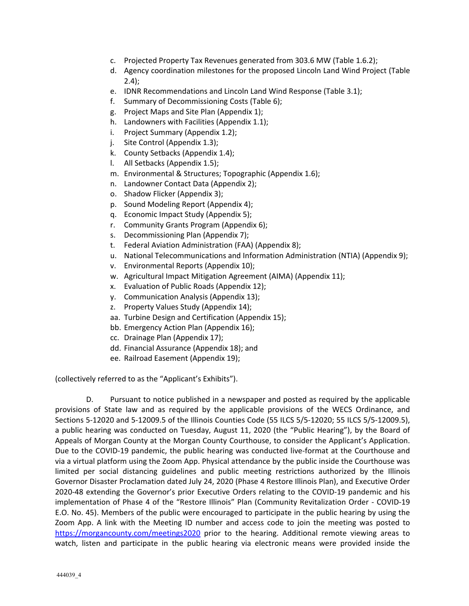- c. Projected Property Tax Revenues generated from 303.6 MW (Table 1.6.2);
- d. Agency coordination milestones for the proposed Lincoln Land Wind Project (Table  $2.4$ :
- e. IDNR Recommendations and Lincoln Land Wind Response (Table 3.1);
- f. Summary of Decommissioning Costs (Table 6);
- g. Project Maps and Site Plan (Appendix 1);
- h. Landowners with Facilities (Appendix 1.1);
- i. Project Summary (Appendix 1.2);
- j. Site Control (Appendix 1.3);
- k. County Setbacks (Appendix 1.4);
- l. All Setbacks (Appendix 1.5);
- m. Environmental & Structures; Topographic (Appendix 1.6);
- n. Landowner Contact Data (Appendix 2);
- o. Shadow Flicker (Appendix 3);
- p. Sound Modeling Report (Appendix 4);
- q. Economic Impact Study (Appendix 5);
- r. Community Grants Program (Appendix 6);
- s. Decommissioning Plan (Appendix 7);
- t. Federal Aviation Administration (FAA) (Appendix 8);
- u. National Telecommunications and Information Administration (NTIA) (Appendix 9);
- v. Environmental Reports (Appendix 10);
- w. Agricultural Impact Mitigation Agreement (AIMA) (Appendix 11);
- x. Evaluation of Public Roads (Appendix 12);
- y. Communication Analysis (Appendix 13);
- z. Property Values Study (Appendix 14);
- aa. Turbine Design and Certification (Appendix 15);
- bb. Emergency Action Plan (Appendix 16);
- cc. Drainage Plan (Appendix 17);
- dd. Financial Assurance (Appendix 18); and
- ee. Railroad Easement (Appendix 19);

(collectively referred to as the "Applicant's Exhibits").

D. Pursuant to notice published in a newspaper and posted as required by the applicable provisions of State law and as required by the applicable provisions of the WECS Ordinance, and Sections 5‐12020 and 5‐12009.5 of the Illinois Counties Code (55 ILCS 5/5‐12020; 55 ILCS 5/5‐12009.5), a public hearing was conducted on Tuesday, August 11, 2020 (the "Public Hearing"), by the Board of Appeals of Morgan County at the Morgan County Courthouse, to consider the Applicant's Application. Due to the COVID-19 pandemic, the public hearing was conducted live-format at the Courthouse and via a virtual platform using the Zoom App. Physical attendance by the public inside the Courthouse was limited per social distancing guidelines and public meeting restrictions authorized by the Illinois Governor Disaster Proclamation dated July 24, 2020 (Phase 4 Restore Illinois Plan), and Executive Order 2020-48 extending the Governor's prior Executive Orders relating to the COVID-19 pandemic and his implementation of Phase 4 of the "Restore Illinois" Plan (Community Revitalization Order ‐ COVID‐19 E.O. No. 45). Members of the public were encouraged to participate in the public hearing by using the Zoom App. A link with the Meeting ID number and access code to join the meeting was posted to https://morgancounty.com/meetings2020 prior to the hearing. Additional remote viewing areas to watch, listen and participate in the public hearing via electronic means were provided inside the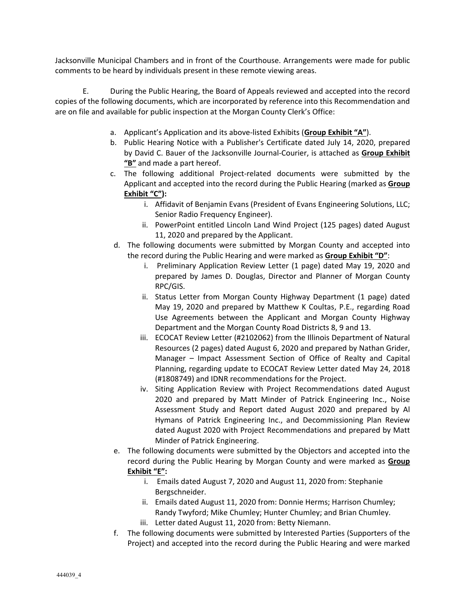Jacksonville Municipal Chambers and in front of the Courthouse. Arrangements were made for public comments to be heard by individuals present in these remote viewing areas.

E. During the Public Hearing, the Board of Appeals reviewed and accepted into the record copies of the following documents, which are incorporated by reference into this Recommendation and are on file and available for public inspection at the Morgan County Clerk's Office:

- a. Applicant's Application and its above‐listed Exhibits (**Group Exhibit "A"**).
- b. Public Hearing Notice with a Publisher's Certificate dated July 14, 2020, prepared by David C. Bauer of the Jacksonville Journal‐Courier, is attached as **Group Exhibit "B"** and made a part hereof.
- c. The following additional Project‐related documents were submitted by the Applicant and accepted into the record during the Public Hearing (marked as **Group Exhibit "C"):**
	- i. Affidavit of Benjamin Evans (President of Evans Engineering Solutions, LLC; Senior Radio Frequency Engineer).
	- ii. PowerPoint entitled Lincoln Land Wind Project (125 pages) dated August 11, 2020 and prepared by the Applicant.
- d. The following documents were submitted by Morgan County and accepted into the record during the Public Hearing and were marked as **Group Exhibit "D"**:
	- i. Preliminary Application Review Letter (1 page) dated May 19, 2020 and prepared by James D. Douglas, Director and Planner of Morgan County RPC/GIS.
	- ii. Status Letter from Morgan County Highway Department (1 page) dated May 19, 2020 and prepared by Matthew K Coultas, P.E., regarding Road Use Agreements between the Applicant and Morgan County Highway Department and the Morgan County Road Districts 8, 9 and 13.
	- iii. ECOCAT Review Letter (#2102062) from the Illinois Department of Natural Resources (2 pages) dated August 6, 2020 and prepared by Nathan Grider, Manager – Impact Assessment Section of Office of Realty and Capital Planning, regarding update to ECOCAT Review Letter dated May 24, 2018 (#1808749) and IDNR recommendations for the Project.
	- iv. Siting Application Review with Project Recommendations dated August 2020 and prepared by Matt Minder of Patrick Engineering Inc., Noise Assessment Study and Report dated August 2020 and prepared by Al Hymans of Patrick Engineering Inc., and Decommissioning Plan Review dated August 2020 with Project Recommendations and prepared by Matt Minder of Patrick Engineering.
- e. The following documents were submitted by the Objectors and accepted into the record during the Public Hearing by Morgan County and were marked as **Group Exhibit "E":**
	- i. Emails dated August 7, 2020 and August 11, 2020 from: Stephanie Bergschneider.
	- ii. Emails dated August 11, 2020 from: Donnie Herms; Harrison Chumley; Randy Twyford; Mike Chumley; Hunter Chumley; and Brian Chumley.
	- iii. Letter dated August 11, 2020 from: Betty Niemann.
- f. The following documents were submitted by Interested Parties (Supporters of the Project) and accepted into the record during the Public Hearing and were marked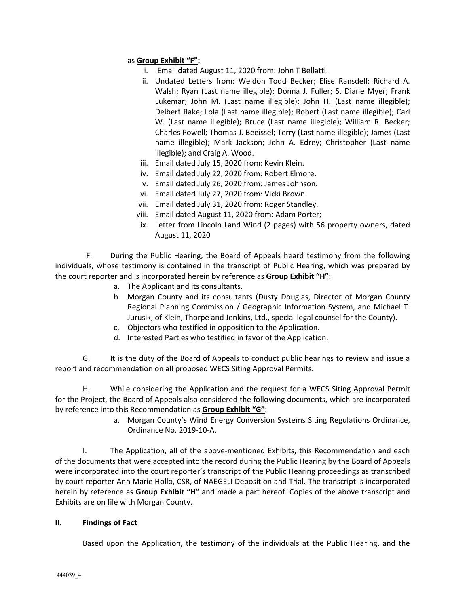## as **Group Exhibit "F":**

- i. Email dated August 11, 2020 from: John T Bellatti.
- ii. Undated Letters from: Weldon Todd Becker; Elise Ransdell; Richard A. Walsh; Ryan (Last name illegible); Donna J. Fuller; S. Diane Myer; Frank Lukemar; John M. (Last name illegible); John H. (Last name illegible); Delbert Rake; Lola (Last name illegible); Robert (Last name illegible); Carl W. (Last name illegible); Bruce (Last name illegible); William R. Becker; Charles Powell; Thomas J. Beeissel; Terry (Last name illegible); James (Last name illegible); Mark Jackson; John A. Edrey; Christopher (Last name illegible); and Craig A. Wood.
- iii. Email dated July 15, 2020 from: Kevin Klein.
- iv. Email dated July 22, 2020 from: Robert Elmore.
- v. Email dated July 26, 2020 from: James Johnson.
- vi. Email dated July 27, 2020 from: Vicki Brown.
- vii. Email dated July 31, 2020 from: Roger Standley.
- viii. Email dated August 11, 2020 from: Adam Porter;
- ix. Letter from Lincoln Land Wind (2 pages) with 56 property owners, dated August 11, 2020

F. During the Public Hearing, the Board of Appeals heard testimony from the following individuals, whose testimony is contained in the transcript of Public Hearing, which was prepared by the court reporter and is incorporated herein by reference as **Group Exhibit "H"**:

- a. The Applicant and its consultants.
- b. Morgan County and its consultants (Dusty Douglas, Director of Morgan County Regional Planning Commission / Geographic Information System, and Michael T. Jurusik, of Klein, Thorpe and Jenkins, Ltd., special legal counsel for the County).
- c. Objectors who testified in opposition to the Application.
- d. Interested Parties who testified in favor of the Application.

G. It is the duty of the Board of Appeals to conduct public hearings to review and issue a report and recommendation on all proposed WECS Siting Approval Permits.

H. While considering the Application and the request for a WECS Siting Approval Permit for the Project, the Board of Appeals also considered the following documents, which are incorporated by reference into this Recommendation as **Group Exhibit "G"**:

> a. Morgan County's Wind Energy Conversion Systems Siting Regulations Ordinance, Ordinance No. 2019‐10‐A.

I. The Application, all of the above-mentioned Exhibits, this Recommendation and each of the documents that were accepted into the record during the Public Hearing by the Board of Appeals were incorporated into the court reporter's transcript of the Public Hearing proceedings as transcribed by court reporter Ann Marie Hollo, CSR, of NAEGELI Deposition and Trial. The transcript is incorporated herein by reference as **Group Exhibit "H"** and made a part hereof. Copies of the above transcript and Exhibits are on file with Morgan County.

## **II. Findings of Fact**

Based upon the Application, the testimony of the individuals at the Public Hearing, and the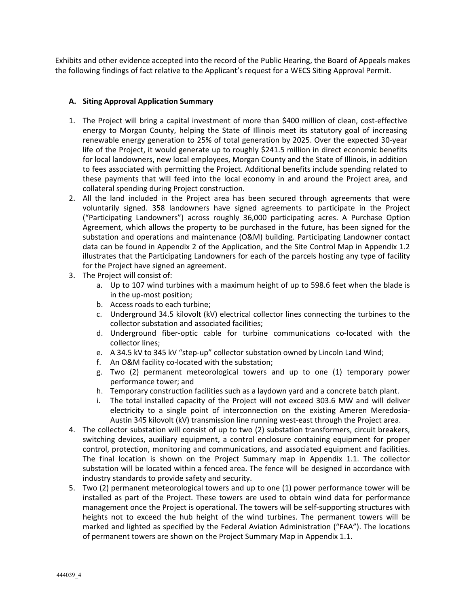Exhibits and other evidence accepted into the record of the Public Hearing, the Board of Appeals makes the following findings of fact relative to the Applicant's request for a WECS Siting Approval Permit.

## **A. Siting Approval Application Summary**

- 1. The Project will bring a capital investment of more than \$400 million of clean, cost‐effective energy to Morgan County, helping the State of Illinois meet its statutory goal of increasing renewable energy generation to 25% of total generation by 2025. Over the expected 30‐year life of the Project, it would generate up to roughly \$241.5 million in direct economic benefits for local landowners, new local employees, Morgan County and the State of Illinois, in addition to fees associated with permitting the Project. Additional benefits include spending related to these payments that will feed into the local economy in and around the Project area, and collateral spending during Project construction.
- 2. All the land included in the Project area has been secured through agreements that were voluntarily signed. 358 landowners have signed agreements to participate in the Project ("Participating Landowners") across roughly 36,000 participating acres. A Purchase Option Agreement, which allows the property to be purchased in the future, has been signed for the substation and operations and maintenance (O&M) building. Participating Landowner contact data can be found in Appendix 2 of the Application, and the Site Control Map in Appendix 1.2 illustrates that the Participating Landowners for each of the parcels hosting any type of facility for the Project have signed an agreement.
- 3. The Project will consist of:
	- a. Up to 107 wind turbines with a maximum height of up to 598.6 feet when the blade is in the up‐most position;
	- b. Access roads to each turbine;
	- c. Underground 34.5 kilovolt (kV) electrical collector lines connecting the turbines to the collector substation and associated facilities;
	- d. Underground fiber‐optic cable for turbine communications co‐located with the collector lines;
	- e. A 34.5 kV to 345 kV "step-up" collector substation owned by Lincoln Land Wind;
	- f. An O&M facility co-located with the substation;
	- g. Two (2) permanent meteorological towers and up to one (1) temporary power performance tower; and
	- h. Temporary construction facilities such as a laydown yard and a concrete batch plant.
	- i. The total installed capacity of the Project will not exceed 303.6 MW and will deliver electricity to a single point of interconnection on the existing Ameren Meredosia-Austin 345 kilovolt (kV) transmission line running west-east through the Project area.
- 4. The collector substation will consist of up to two (2) substation transformers, circuit breakers, switching devices, auxiliary equipment, a control enclosure containing equipment for proper control, protection, monitoring and communications, and associated equipment and facilities. The final location is shown on the Project Summary map in Appendix 1.1. The collector substation will be located within a fenced area. The fence will be designed in accordance with industry standards to provide safety and security.
- 5. Two (2) permanent meteorological towers and up to one (1) power performance tower will be installed as part of the Project. These towers are used to obtain wind data for performance management once the Project is operational. The towers will be self-supporting structures with heights not to exceed the hub height of the wind turbines. The permanent towers will be marked and lighted as specified by the Federal Aviation Administration ("FAA"). The locations of permanent towers are shown on the Project Summary Map in Appendix 1.1.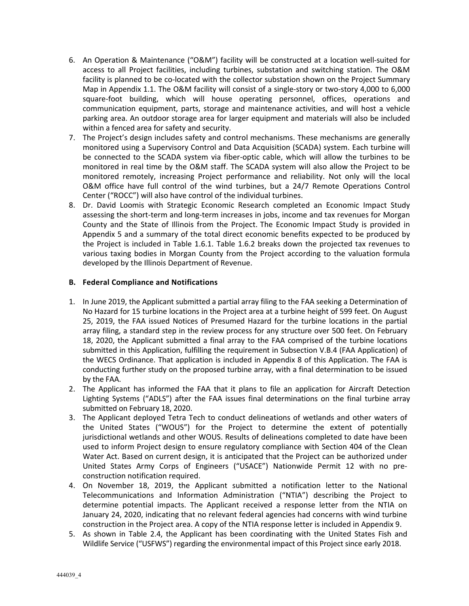- 6. An Operation & Maintenance ("O&M") facility will be constructed at a location well‐suited for access to all Project facilities, including turbines, substation and switching station. The O&M facility is planned to be co-located with the collector substation shown on the Project Summary Map in Appendix 1.1. The O&M facility will consist of a single‐story or two‐story 4,000 to 6,000 square-foot building, which will house operating personnel, offices, operations and communication equipment, parts, storage and maintenance activities, and will host a vehicle parking area. An outdoor storage area for larger equipment and materials will also be included within a fenced area for safety and security.
- 7. The Project's design includes safety and control mechanisms. These mechanisms are generally monitored using a Supervisory Control and Data Acquisition (SCADA) system. Each turbine will be connected to the SCADA system via fiber-optic cable, which will allow the turbines to be monitored in real time by the O&M staff. The SCADA system will also allow the Project to be monitored remotely, increasing Project performance and reliability. Not only will the local O&M office have full control of the wind turbines, but a 24/7 Remote Operations Control Center ("ROCC") will also have control of the individual turbines.
- 8. Dr. David Loomis with Strategic Economic Research completed an Economic Impact Study assessing the short-term and long-term increases in jobs, income and tax revenues for Morgan County and the State of Illinois from the Project. The Economic Impact Study is provided in Appendix 5 and a summary of the total direct economic benefits expected to be produced by the Project is included in Table 1.6.1. Table 1.6.2 breaks down the projected tax revenues to various taxing bodies in Morgan County from the Project according to the valuation formula developed by the Illinois Department of Revenue.

## **B. Federal Compliance and Notifications**

- 1. In June 2019, the Applicant submitted a partial array filing to the FAA seeking a Determination of No Hazard for 15 turbine locations in the Project area at a turbine height of 599 feet. On August 25, 2019, the FAA issued Notices of Presumed Hazard for the turbine locations in the partial array filing, a standard step in the review process for any structure over 500 feet. On February 18, 2020, the Applicant submitted a final array to the FAA comprised of the turbine locations submitted in this Application, fulfilling the requirement in Subsection V.B.4 (FAA Application) of the WECS Ordinance. That application is included in Appendix 8 of this Application. The FAA is conducting further study on the proposed turbine array, with a final determination to be issued by the FAA.
- 2. The Applicant has informed the FAA that it plans to file an application for Aircraft Detection Lighting Systems ("ADLS") after the FAA issues final determinations on the final turbine array submitted on February 18, 2020.
- 3. The Applicant deployed Tetra Tech to conduct delineations of wetlands and other waters of the United States ("WOUS") for the Project to determine the extent of potentially jurisdictional wetlands and other WOUS. Results of delineations completed to date have been used to inform Project design to ensure regulatory compliance with Section 404 of the Clean Water Act. Based on current design, it is anticipated that the Project can be authorized under United States Army Corps of Engineers ("USACE") Nationwide Permit 12 with no pre‐ construction notification required.
- 4. On November 18, 2019, the Applicant submitted a notification letter to the National Telecommunications and Information Administration ("NTIA") describing the Project to determine potential impacts. The Applicant received a response letter from the NTIA on January 24, 2020, indicating that no relevant federal agencies had concerns with wind turbine construction in the Project area. A copy of the NTIA response letter is included in Appendix 9.
- 5. As shown in Table 2.4, the Applicant has been coordinating with the United States Fish and Wildlife Service ("USFWS") regarding the environmental impact of this Project since early 2018.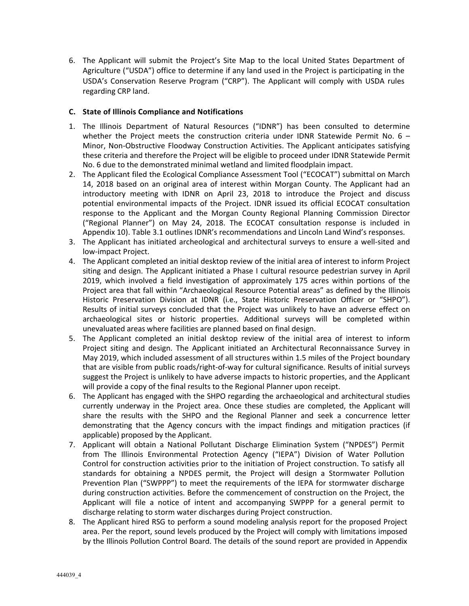6. The Applicant will submit the Project's Site Map to the local United States Department of Agriculture ("USDA") office to determine if any land used in the Project is participating in the USDA's Conservation Reserve Program ("CRP"). The Applicant will comply with USDA rules regarding CRP land.

## **C. State of Illinois Compliance and Notifications**

- 1. The Illinois Department of Natural Resources ("IDNR") has been consulted to determine whether the Project meets the construction criteria under IDNR Statewide Permit No.  $6 -$ Minor, Non‐Obstructive Floodway Construction Activities. The Applicant anticipates satisfying these criteria and therefore the Project will be eligible to proceed under IDNR Statewide Permit No. 6 due to the demonstrated minimal wetland and limited floodplain impact.
- 2. The Applicant filed the Ecological Compliance Assessment Tool ("ECOCAT") submittal on March 14, 2018 based on an original area of interest within Morgan County. The Applicant had an introductory meeting with IDNR on April 23, 2018 to introduce the Project and discuss potential environmental impacts of the Project. IDNR issued its official ECOCAT consultation response to the Applicant and the Morgan County Regional Planning Commission Director ("Regional Planner") on May 24, 2018. The ECOCAT consultation response is included in Appendix 10). Table 3.1 outlines IDNR's recommendations and Lincoln Land Wind's responses.
- 3. The Applicant has initiated archeological and architectural surveys to ensure a well‐sited and low‐impact Project.
- 4. The Applicant completed an initial desktop review of the initial area of interest to inform Project siting and design. The Applicant initiated a Phase I cultural resource pedestrian survey in April 2019, which involved a field investigation of approximately 175 acres within portions of the Project area that fall within "Archaeological Resource Potential areas" as defined by the Illinois Historic Preservation Division at IDNR (i.e., State Historic Preservation Officer or "SHPO"). Results of initial surveys concluded that the Project was unlikely to have an adverse effect on archaeological sites or historic properties. Additional surveys will be completed within unevaluated areas where facilities are planned based on final design.
- 5. The Applicant completed an initial desktop review of the initial area of interest to inform Project siting and design. The Applicant initiated an Architectural Reconnaissance Survey in May 2019, which included assessment of all structures within 1.5 miles of the Project boundary that are visible from public roads/right‐of‐way for cultural significance. Results of initial surveys suggest the Project is unlikely to have adverse impacts to historic properties, and the Applicant will provide a copy of the final results to the Regional Planner upon receipt.
- 6. The Applicant has engaged with the SHPO regarding the archaeological and architectural studies currently underway in the Project area. Once these studies are completed, the Applicant will share the results with the SHPO and the Regional Planner and seek a concurrence letter demonstrating that the Agency concurs with the impact findings and mitigation practices (if applicable) proposed by the Applicant.
- 7. Applicant will obtain a National Pollutant Discharge Elimination System ("NPDES") Permit from The Illinois Environmental Protection Agency ("IEPA") Division of Water Pollution Control for construction activities prior to the initiation of Project construction. To satisfy all standards for obtaining a NPDES permit, the Project will design a Stormwater Pollution Prevention Plan ("SWPPP") to meet the requirements of the IEPA for stormwater discharge during construction activities. Before the commencement of construction on the Project, the Applicant will file a notice of intent and accompanying SWPPP for a general permit to discharge relating to storm water discharges during Project construction.
- 8. The Applicant hired RSG to perform a sound modeling analysis report for the proposed Project area. Per the report, sound levels produced by the Project will comply with limitations imposed by the Illinois Pollution Control Board. The details of the sound report are provided in Appendix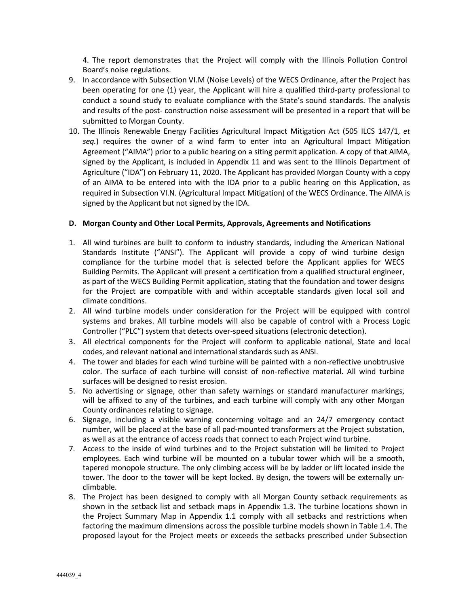4. The report demonstrates that the Project will comply with the Illinois Pollution Control Board's noise regulations.

- 9. In accordance with Subsection VI.M (Noise Levels) of the WECS Ordinance, after the Project has been operating for one (1) year, the Applicant will hire a qualified third-party professional to conduct a sound study to evaluate compliance with the State's sound standards. The analysis and results of the post- construction noise assessment will be presented in a report that will be submitted to Morgan County.
- 10. The Illinois Renewable Energy Facilities Agricultural Impact Mitigation Act (505 ILCS 147/1, *et seq.*) requires the owner of a wind farm to enter into an Agricultural Impact Mitigation Agreement ("AIMA") prior to a public hearing on a siting permit application. A copy of that AIMA, signed by the Applicant, is included in Appendix 11 and was sent to the Illinois Department of Agriculture ("IDA") on February 11, 2020. The Applicant has provided Morgan County with a copy of an AIMA to be entered into with the IDA prior to a public hearing on this Application, as required in Subsection VI.N. (Agricultural Impact Mitigation) of the WECS Ordinance. The AIMA is signed by the Applicant but not signed by the IDA.

## **D. Morgan County and Other Local Permits, Approvals, Agreements and Notifications**

- 1. All wind turbines are built to conform to industry standards, including the American National Standards Institute ("ANSI"). The Applicant will provide a copy of wind turbine design compliance for the turbine model that is selected before the Applicant applies for WECS Building Permits. The Applicant will present a certification from a qualified structural engineer, as part of the WECS Building Permit application, stating that the foundation and tower designs for the Project are compatible with and within acceptable standards given local soil and climate conditions.
- 2. All wind turbine models under consideration for the Project will be equipped with control systems and brakes. All turbine models will also be capable of control with a Process Logic Controller ("PLC") system that detects over‐speed situations (electronic detection).
- 3. All electrical components for the Project will conform to applicable national, State and local codes, and relevant national and international standards such as ANSI.
- 4. The tower and blades for each wind turbine will be painted with a non-reflective unobtrusive color. The surface of each turbine will consist of non-reflective material. All wind turbine surfaces will be designed to resist erosion.
- 5. No advertising or signage, other than safety warnings or standard manufacturer markings, will be affixed to any of the turbines, and each turbine will comply with any other Morgan County ordinances relating to signage.
- 6. Signage, including a visible warning concerning voltage and an 24/7 emergency contact number, will be placed at the base of all pad‐mounted transformers at the Project substation, as well as at the entrance of access roads that connect to each Project wind turbine.
- 7. Access to the inside of wind turbines and to the Project substation will be limited to Project employees. Each wind turbine will be mounted on a tubular tower which will be a smooth, tapered monopole structure. The only climbing access will be by ladder or lift located inside the tower. The door to the tower will be kept locked. By design, the towers will be externally unclimbable.
- 8. The Project has been designed to comply with all Morgan County setback requirements as shown in the setback list and setback maps in Appendix 1.3. The turbine locations shown in the Project Summary Map in Appendix 1.1 comply with all setbacks and restrictions when factoring the maximum dimensions across the possible turbine models shown in Table 1.4. The proposed layout for the Project meets or exceeds the setbacks prescribed under Subsection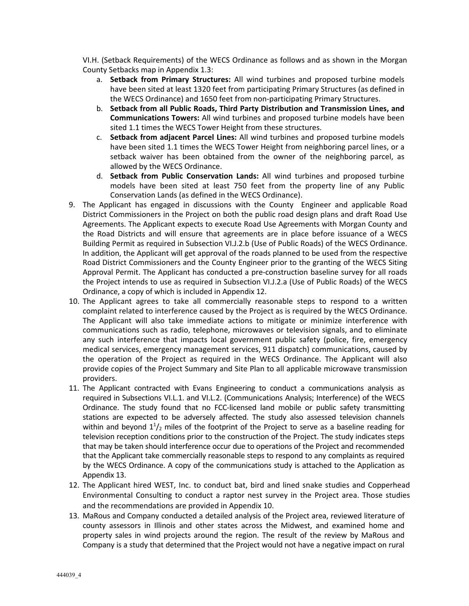VI.H. (Setback Requirements) of the WECS Ordinance as follows and as shown in the Morgan County Setbacks map in Appendix 1.3:

- a. **Setback from Primary Structures:**  All wind turbines and proposed turbine models have been sited at least 1320 feet from participating Primary Structures (as defined in the WECS Ordinance) and 1650 feet from non‐participating Primary Structures.
- b. **Setback from all Public Roads, Third Party Distribution and Transmission Lines, and Communications Towers:** All wind turbines and proposed turbine models have been sited 1.1 times the WECS Tower Height from these structures.
- c. **Setback from adjacent Parcel Lines:** All wind turbines and proposed turbine models have been sited 1.1 times the WECS Tower Height from neighboring parcel lines, or a setback waiver has been obtained from the owner of the neighboring parcel, as allowed by the WECS Ordinance.
- d. **Setback from Public Conservation Lands:**  All wind turbines and proposed turbine models have been sited at least 750 feet from the property line of any Public Conservation Lands (as defined in the WECS Ordinance).
- 9. The Applicant has engaged in discussions with the County Engineer and applicable Road District Commissioners in the Project on both the public road design plans and draft Road Use Agreements. The Applicant expects to execute Road Use Agreements with Morgan County and the Road Districts and will ensure that agreements are in place before issuance of a WECS Building Permit as required in Subsection VI.J.2.b (Use of Public Roads) of the WECS Ordinance. In addition, the Applicant will get approval of the roads planned to be used from the respective Road District Commissioners and the County Engineer prior to the granting of the WECS Siting Approval Permit. The Applicant has conducted a pre‐construction baseline survey for all roads the Project intends to use as required in Subsection VI.J.2.a (Use of Public Roads) of the WECS Ordinance, a copy of which is included in Appendix 12.
- 10. The Applicant agrees to take all commercially reasonable steps to respond to a written complaint related to interference caused by the Project as is required by the WECS Ordinance. The Applicant will also take immediate actions to mitigate or minimize interference with communications such as radio, telephone, microwaves or television signals, and to eliminate any such interference that impacts local government public safety (police, fire, emergency medical services, emergency management services, 911 dispatch) communications, caused by the operation of the Project as required in the WECS Ordinance. The Applicant will also provide copies of the Project Summary and Site Plan to all applicable microwave transmission providers.
- 11. The Applicant contracted with Evans Engineering to conduct a communications analysis as required in Subsections VI.L.1. and VI.L.2. (Communications Analysis; Interference) of the WECS Ordinance. The study found that no FCC-licensed land mobile or public safety transmitting stations are expected to be adversely affected. The study also assessed television channels within and beyond  $1<sup>1</sup>/<sub>2</sub>$  miles of the footprint of the Project to serve as a baseline reading for television reception conditions prior to the construction of the Project. The study indicates steps that may be taken should interference occur due to operations of the Project and recommended that the Applicant take commercially reasonable steps to respond to any complaints as required by the WECS Ordinance. A copy of the communications study is attached to the Application as Appendix 13.
- 12. The Applicant hired WEST, Inc. to conduct bat, bird and lined snake studies and Copperhead Environmental Consulting to conduct a raptor nest survey in the Project area. Those studies and the recommendations are provided in Appendix 10.
- 13. MaRous and Company conducted a detailed analysis of the Project area, reviewed literature of county assessors in Illinois and other states across the Midwest, and examined home and property sales in wind projects around the region. The result of the review by MaRous and Company is a study that determined that the Project would not have a negative impact on rural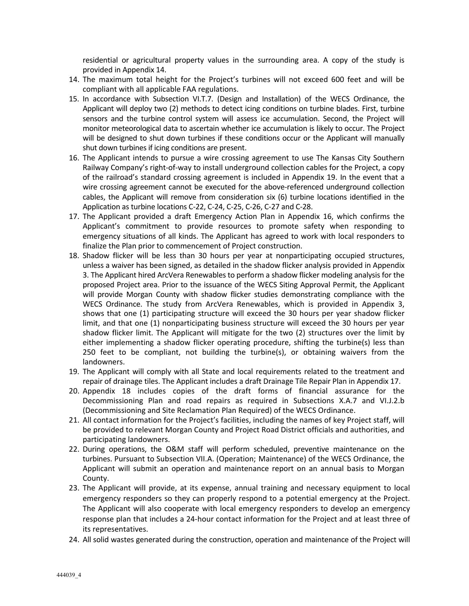residential or agricultural property values in the surrounding area. A copy of the study is provided in Appendix 14.

- 14. The maximum total height for the Project's turbines will not exceed 600 feet and will be compliant with all applicable FAA regulations.
- 15. In accordance with Subsection VI.T.7. (Design and Installation) of the WECS Ordinance, the Applicant will deploy two (2) methods to detect icing conditions on turbine blades. First, turbine sensors and the turbine control system will assess ice accumulation. Second, the Project will monitor meteorological data to ascertain whether ice accumulation is likely to occur. The Project will be designed to shut down turbines if these conditions occur or the Applicant will manually shut down turbines if icing conditions are present.
- 16. The Applicant intends to pursue a wire crossing agreement to use The Kansas City Southern Railway Company's right‐of‐way to install underground collection cables for the Project, a copy of the railroad's standard crossing agreement is included in Appendix 19. In the event that a wire crossing agreement cannot be executed for the above-referenced underground collection cables, the Applicant will remove from consideration six (6) turbine locations identified in the Application as turbine locations C‐22, C‐24, C‐25, C‐26, C‐27 and C‐28.
- 17. The Applicant provided a draft Emergency Action Plan in Appendix 16, which confirms the Applicant's commitment to provide resources to promote safety when responding to emergency situations of all kinds. The Applicant has agreed to work with local responders to finalize the Plan prior to commencement of Project construction.
- 18. Shadow flicker will be less than 30 hours per year at nonparticipating occupied structures, unless a waiver has been signed, as detailed in the shadow flicker analysis provided in Appendix 3. The Applicant hired ArcVera Renewables to perform a shadow flicker modeling analysis for the proposed Project area. Prior to the issuance of the WECS Siting Approval Permit, the Applicant will provide Morgan County with shadow flicker studies demonstrating compliance with the WECS Ordinance. The study from ArcVera Renewables, which is provided in Appendix 3, shows that one (1) participating structure will exceed the 30 hours per year shadow flicker limit, and that one (1) nonparticipating business structure will exceed the 30 hours per year shadow flicker limit. The Applicant will mitigate for the two (2) structures over the limit by either implementing a shadow flicker operating procedure, shifting the turbine(s) less than 250 feet to be compliant, not building the turbine(s), or obtaining waivers from the landowners.
- 19. The Applicant will comply with all State and local requirements related to the treatment and repair of drainage tiles. The Applicant includes a draft Drainage Tile Repair Plan in Appendix 17.
- 20. Appendix 18 includes copies of the draft forms of financial assurance for the Decommissioning Plan and road repairs as required in Subsections X.A.7 and VI.J.2.b (Decommissioning and Site Reclamation Plan Required) of the WECS Ordinance.
- 21. All contact information for the Project's facilities, including the names of key Project staff, will be provided to relevant Morgan County and Project Road District officials and authorities, and participating landowners.
- 22. During operations, the O&M staff will perform scheduled, preventive maintenance on the turbines. Pursuant to Subsection VII.A. (Operation; Maintenance) of the WECS Ordinance, the Applicant will submit an operation and maintenance report on an annual basis to Morgan County.
- 23. The Applicant will provide, at its expense, annual training and necessary equipment to local emergency responders so they can properly respond to a potential emergency at the Project. The Applicant will also cooperate with local emergency responders to develop an emergency response plan that includes a 24‐hour contact information for the Project and at least three of its representatives.
- 24. All solid wastes generated during the construction, operation and maintenance of the Project will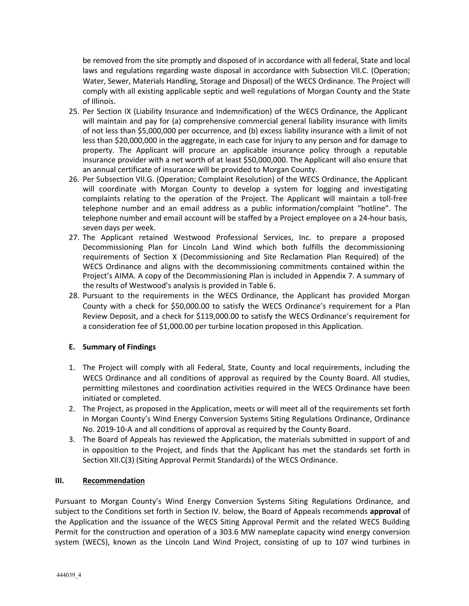be removed from the site promptly and disposed of in accordance with all federal, State and local laws and regulations regarding waste disposal in accordance with Subsection VII.C. (Operation; Water, Sewer, Materials Handling, Storage and Disposal) of the WECS Ordinance. The Project will comply with all existing applicable septic and well regulations of Morgan County and the State of Illinois.

- 25. Per Section IX (Liability Insurance and Indemnification) of the WECS Ordinance, the Applicant will maintain and pay for (a) comprehensive commercial general liability insurance with limits of not less than \$5,000,000 per occurrence, and (b) excess liability insurance with a limit of not less than \$20,000,000 in the aggregate, in each case for injury to any person and for damage to property. The Applicant will procure an applicable insurance policy through a reputable insurance provider with a net worth of at least \$50,000,000. The Applicant will also ensure that an annual certificate of insurance will be provided to Morgan County.
- 26. Per Subsection VII.G. (Operation; Complaint Resolution) of the WECS Ordinance, the Applicant will coordinate with Morgan County to develop a system for logging and investigating complaints relating to the operation of the Project. The Applicant will maintain a toll‐free telephone number and an email address as a public information/complaint "hotline". The telephone number and email account will be staffed by a Project employee on a 24‐hour basis, seven days per week.
- 27. The Applicant retained Westwood Professional Services, Inc. to prepare a proposed Decommissioning Plan for Lincoln Land Wind which both fulfills the decommissioning requirements of Section X (Decommissioning and Site Reclamation Plan Required) of the WECS Ordinance and aligns with the decommissioning commitments contained within the Project's AIMA. A copy of the Decommissioning Plan is included in Appendix 7. A summary of the results of Westwood's analysis is provided in Table 6.
- 28. Pursuant to the requirements in the WECS Ordinance, the Applicant has provided Morgan County with a check for \$50,000.00 to satisfy the WECS Ordinance's requirement for a Plan Review Deposit, and a check for \$119,000.00 to satisfy the WECS Ordinance's requirement for a consideration fee of \$1,000.00 per turbine location proposed in this Application.

## **E. Summary of Findings**

- 1. The Project will comply with all Federal, State, County and local requirements, including the WECS Ordinance and all conditions of approval as required by the County Board. All studies, permitting milestones and coordination activities required in the WECS Ordinance have been initiated or completed.
- 2. The Project, as proposed in the Application, meets or will meet all of the requirements set forth in Morgan County's Wind Energy Conversion Systems Siting Regulations Ordinance, Ordinance No. 2019‐10‐A and all conditions of approval as required by the County Board.
- 3. The Board of Appeals has reviewed the Application, the materials submitted in support of and in opposition to the Project, and finds that the Applicant has met the standards set forth in Section XII.C(3) (Siting Approval Permit Standards) of the WECS Ordinance.

## **III. Recommendation**

Pursuant to Morgan County's Wind Energy Conversion Systems Siting Regulations Ordinance, and subject to the Conditions set forth in Section IV. below, the Board of Appeals recommends **approval** of the Application and the issuance of the WECS Siting Approval Permit and the related WECS Building Permit for the construction and operation of a 303.6 MW nameplate capacity wind energy conversion system (WECS), known as the Lincoln Land Wind Project, consisting of up to 107 wind turbines in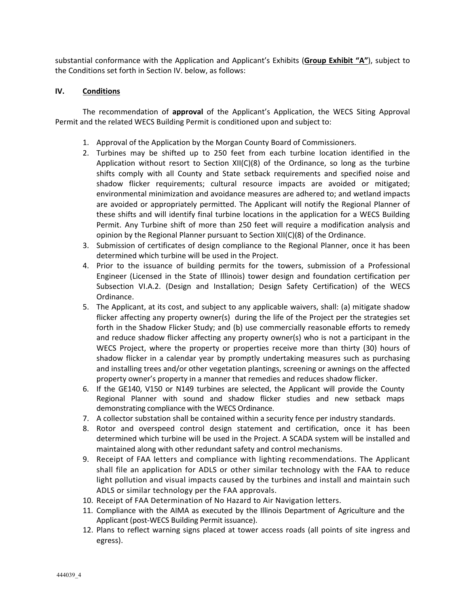substantial conformance with the Application and Applicant's Exhibits (**Group Exhibit "A"**), subject to the Conditions set forth in Section IV. below, as follows:

### **IV. Conditions**

The recommendation of **approval** of the Applicant's Application, the WECS Siting Approval Permit and the related WECS Building Permit is conditioned upon and subject to:

- 1. Approval of the Application by the Morgan County Board of Commissioners.
- 2. Turbines may be shifted up to 250 feet from each turbine location identified in the Application without resort to Section  $XII(C)(8)$  of the Ordinance, so long as the turbine shifts comply with all County and State setback requirements and specified noise and shadow flicker requirements; cultural resource impacts are avoided or mitigated; environmental minimization and avoidance measures are adhered to; and wetland impacts are avoided or appropriately permitted. The Applicant will notify the Regional Planner of these shifts and will identify final turbine locations in the application for a WECS Building Permit. Any Turbine shift of more than 250 feet will require a modification analysis and opinion by the Regional Planner pursuant to Section XII(C)(8) of the Ordinance.
- 3. Submission of certificates of design compliance to the Regional Planner, once it has been determined which turbine will be used in the Project.
- 4. Prior to the issuance of building permits for the towers, submission of a Professional Engineer (Licensed in the State of Illinois) tower design and foundation certification per Subsection VI.A.2. (Design and Installation; Design Safety Certification) of the WECS Ordinance.
- 5. The Applicant, at its cost, and subject to any applicable waivers, shall: (a) mitigate shadow flicker affecting any property owner(s) during the life of the Project per the strategies set forth in the Shadow Flicker Study; and (b) use commercially reasonable efforts to remedy and reduce shadow flicker affecting any property owner(s) who is not a participant in the WECS Project, where the property or properties receive more than thirty (30) hours of shadow flicker in a calendar year by promptly undertaking measures such as purchasing and installing trees and/or other vegetation plantings, screening or awnings on the affected property owner's property in a manner that remedies and reduces shadow flicker.
- 6. If the GE140, V150 or N149 turbines are selected, the Applicant will provide the County Regional Planner with sound and shadow flicker studies and new setback maps demonstrating compliance with the WECS Ordinance.
- 7. A collector substation shall be contained within a security fence per industry standards.
- 8. Rotor and overspeed control design statement and certification, once it has been determined which turbine will be used in the Project. A SCADA system will be installed and maintained along with other redundant safety and control mechanisms.
- 9. Receipt of FAA letters and compliance with lighting recommendations. The Applicant shall file an application for ADLS or other similar technology with the FAA to reduce light pollution and visual impacts caused by the turbines and install and maintain such ADLS or similar technology per the FAA approvals.
- 10. Receipt of FAA Determination of No Hazard to Air Navigation letters.
- 11. Compliance with the AIMA as executed by the Illinois Department of Agriculture and the Applicant (post‐WECS Building Permit issuance).
- 12. Plans to reflect warning signs placed at tower access roads (all points of site ingress and egress).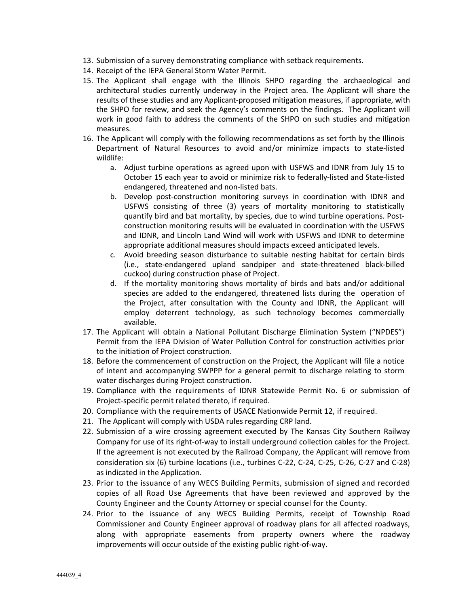- 13. Submission of a survey demonstrating compliance with setback requirements.
- 14. Receipt of the IEPA General Storm Water Permit.
- 15. The Applicant shall engage with the Illinois SHPO regarding the archaeological and architectural studies currently underway in the Project area. The Applicant will share the results of these studies and any Applicant‐proposed mitigation measures, if appropriate, with the SHPO for review, and seek the Agency's comments on the findings. The Applicant will work in good faith to address the comments of the SHPO on such studies and mitigation measures.
- 16. The Applicant will comply with the following recommendations as set forth by the Illinois Department of Natural Resources to avoid and/or minimize impacts to state-listed wildlife:
	- a. Adjust turbine operations as agreed upon with USFWS and IDNR from July 15 to October 15 each year to avoid or minimize risk to federally‐listed and State‐listed endangered, threatened and non‐listed bats.
	- b. Develop post-construction monitoring surveys in coordination with IDNR and USFWS consisting of three (3) years of mortality monitoring to statistically quantify bird and bat mortality, by species, due to wind turbine operations. Post‐ construction monitoring results will be evaluated in coordination with the USFWS and IDNR, and Lincoln Land Wind will work with USFWS and IDNR to determine appropriate additional measures should impacts exceed anticipated levels.
	- c. Avoid breeding season disturbance to suitable nesting habitat for certain birds (i.e., state‐endangered upland sandpiper and state‐threatened black‐billed cuckoo) during construction phase of Project.
	- d. If the mortality monitoring shows mortality of birds and bats and/or additional species are added to the endangered, threatened lists during the operation of the Project, after consultation with the County and IDNR, the Applicant will employ deterrent technology, as such technology becomes commercially available.
- 17. The Applicant will obtain a National Pollutant Discharge Elimination System ("NPDES") Permit from the IEPA Division of Water Pollution Control for construction activities prior to the initiation of Project construction.
- 18. Before the commencement of construction on the Project, the Applicant will file a notice of intent and accompanying SWPPP for a general permit to discharge relating to storm water discharges during Project construction.
- 19. Compliance with the requirements of IDNR Statewide Permit No. 6 or submission of Project‐specific permit related thereto, if required.
- 20. Compliance with the requirements of USACE Nationwide Permit 12, if required.
- 21. The Applicant will comply with USDA rules regarding CRP land.
- 22. Submission of a wire crossing agreement executed by The Kansas City Southern Railway Company for use of its right‐of‐way to install underground collection cables for the Project. If the agreement is not executed by the Railroad Company, the Applicant will remove from consideration six (6) turbine locations (i.e., turbines C‐22, C‐24, C‐25, C‐26, C‐27 and C‐28) as indicated in the Application.
- 23. Prior to the issuance of any WECS Building Permits, submission of signed and recorded copies of all Road Use Agreements that have been reviewed and approved by the County Engineer and the County Attorney or special counsel for the County.
- 24. Prior to the issuance of any WECS Building Permits, receipt of Township Road Commissioner and County Engineer approval of roadway plans for all affected roadways, along with appropriate easements from property owners where the roadway improvements will occur outside of the existing public right‐of‐way.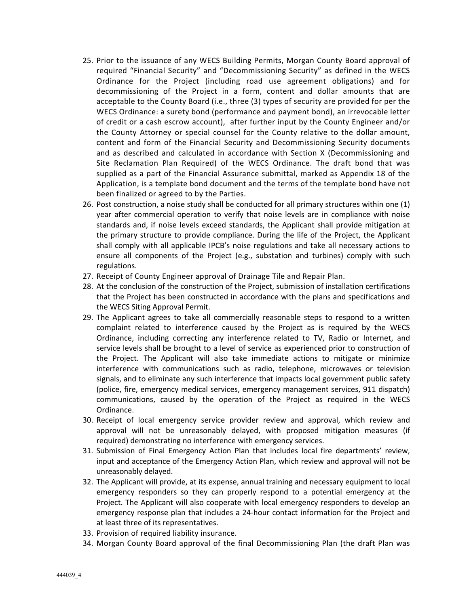- 25. Prior to the issuance of any WECS Building Permits, Morgan County Board approval of required "Financial Security" and "Decommissioning Security" as defined in the WECS Ordinance for the Project (including road use agreement obligations) and for decommissioning of the Project in a form, content and dollar amounts that are acceptable to the County Board (i.e., three (3) types of security are provided for per the WECS Ordinance: a surety bond (performance and payment bond), an irrevocable letter of credit or a cash escrow account), after further input by the County Engineer and/or the County Attorney or special counsel for the County relative to the dollar amount, content and form of the Financial Security and Decommissioning Security documents and as described and calculated in accordance with Section X (Decommissioning and Site Reclamation Plan Required) of the WECS Ordinance. The draft bond that was supplied as a part of the Financial Assurance submittal, marked as Appendix 18 of the Application, is a template bond document and the terms of the template bond have not been finalized or agreed to by the Parties.
- 26. Post construction, a noise study shall be conducted for all primary structures within one (1) year after commercial operation to verify that noise levels are in compliance with noise standards and, if noise levels exceed standards, the Applicant shall provide mitigation at the primary structure to provide compliance. During the life of the Project, the Applicant shall comply with all applicable IPCB's noise regulations and take all necessary actions to ensure all components of the Project (e.g., substation and turbines) comply with such regulations.
- 27. Receipt of County Engineer approval of Drainage Tile and Repair Plan.
- 28. At the conclusion of the construction of the Project, submission of installation certifications that the Project has been constructed in accordance with the plans and specifications and the WECS Siting Approval Permit.
- 29. The Applicant agrees to take all commercially reasonable steps to respond to a written complaint related to interference caused by the Project as is required by the WECS Ordinance, including correcting any interference related to TV, Radio or Internet, and service levels shall be brought to a level of service as experienced prior to construction of the Project. The Applicant will also take immediate actions to mitigate or minimize interference with communications such as radio, telephone, microwaves or television signals, and to eliminate any such interference that impacts local government public safety (police, fire, emergency medical services, emergency management services, 911 dispatch) communications, caused by the operation of the Project as required in the WECS Ordinance.
- 30. Receipt of local emergency service provider review and approval, which review and approval will not be unreasonably delayed, with proposed mitigation measures (if required) demonstrating no interference with emergency services.
- 31. Submission of Final Emergency Action Plan that includes local fire departments' review, input and acceptance of the Emergency Action Plan, which review and approval will not be unreasonably delayed.
- 32. The Applicant will provide, at its expense, annual training and necessary equipment to local emergency responders so they can properly respond to a potential emergency at the Project. The Applicant will also cooperate with local emergency responders to develop an emergency response plan that includes a 24‐hour contact information for the Project and at least three of its representatives.
- 33. Provision of required liability insurance.
- 34. Morgan County Board approval of the final Decommissioning Plan (the draft Plan was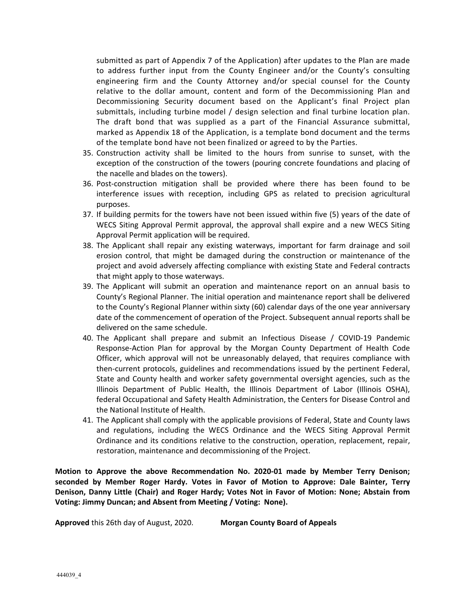submitted as part of Appendix 7 of the Application) after updates to the Plan are made to address further input from the County Engineer and/or the County's consulting engineering firm and the County Attorney and/or special counsel for the County relative to the dollar amount, content and form of the Decommissioning Plan and Decommissioning Security document based on the Applicant's final Project plan submittals, including turbine model / design selection and final turbine location plan. The draft bond that was supplied as a part of the Financial Assurance submittal, marked as Appendix 18 of the Application, is a template bond document and the terms of the template bond have not been finalized or agreed to by the Parties.

- 35. Construction activity shall be limited to the hours from sunrise to sunset, with the exception of the construction of the towers (pouring concrete foundations and placing of the nacelle and blades on the towers).
- 36. Post‐construction mitigation shall be provided where there has been found to be interference issues with reception, including GPS as related to precision agricultural purposes.
- 37. If building permits for the towers have not been issued within five (5) years of the date of WECS Siting Approval Permit approval, the approval shall expire and a new WECS Siting Approval Permit application will be required.
- 38. The Applicant shall repair any existing waterways, important for farm drainage and soil erosion control, that might be damaged during the construction or maintenance of the project and avoid adversely affecting compliance with existing State and Federal contracts that might apply to those waterways.
- 39. The Applicant will submit an operation and maintenance report on an annual basis to County's Regional Planner. The initial operation and maintenance report shall be delivered to the County's Regional Planner within sixty (60) calendar days of the one year anniversary date of the commencement of operation of the Project. Subsequent annual reports shall be delivered on the same schedule.
- 40. The Applicant shall prepare and submit an Infectious Disease / COVID-19 Pandemic Response‐Action Plan for approval by the Morgan County Department of Health Code Officer, which approval will not be unreasonably delayed, that requires compliance with then-current protocols, guidelines and recommendations issued by the pertinent Federal, State and County health and worker safety governmental oversight agencies, such as the Illinois Department of Public Health, the Illinois Department of Labor (Illinois OSHA), federal Occupational and Safety Health Administration, the Centers for Disease Control and the National Institute of Health.
- 41. The Applicant shall comply with the applicable provisions of Federal, State and County laws and regulations, including the WECS Ordinance and the WECS Siting Approval Permit Ordinance and its conditions relative to the construction, operation, replacement, repair, restoration, maintenance and decommissioning of the Project.

**Motion to Approve the above Recommendation No. 2020‐01 made by Member Terry Denison; seconded by Member Roger Hardy. Votes in Favor of Motion to Approve: Dale Bainter, Terry Denison, Danny Little (Chair) and Roger Hardy; Votes Not in Favor of Motion: None; Abstain from Voting: Jimmy Duncan; and Absent from Meeting / Voting: None).**

**Approved** this 26th day of August, 2020. **Morgan County Board of Appeals**